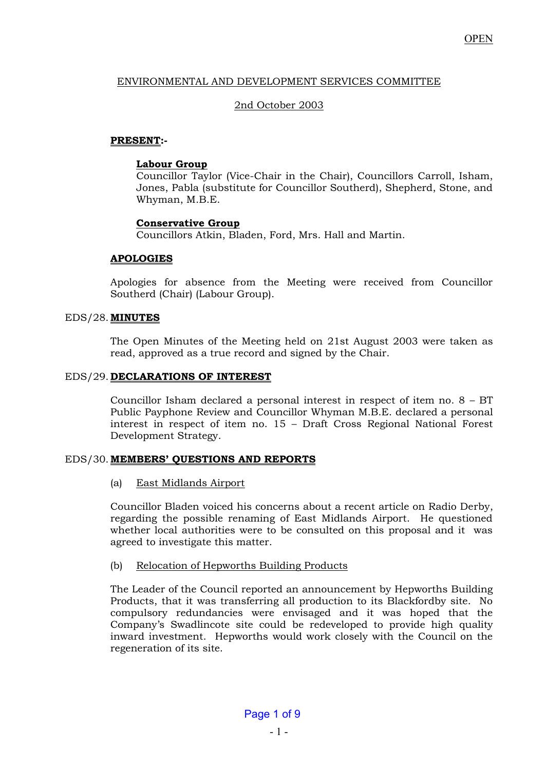# ENVIRONMENTAL AND DEVELOPMENT SERVICES COMMITTEE

# 2nd October 2003

# **PRESENT:-**

# **Labour Group**

 Councillor Taylor (Vice-Chair in the Chair), Councillors Carroll, Isham, Jones, Pabla (substitute for Councillor Southerd), Shepherd, Stone, and Whyman, M.B.E.

# **Conservative Group**

Councillors Atkin, Bladen, Ford, Mrs. Hall and Martin.

# **APOLOGIES**

 Apologies for absence from the Meeting were received from Councillor Southerd (Chair) (Labour Group).

## EDS/28. **MINUTES**

The Open Minutes of the Meeting held on 21st August 2003 were taken as read, approved as a true record and signed by the Chair.

# EDS/29. **DECLARATIONS OF INTEREST**

Councillor Isham declared a personal interest in respect of item no. 8 – BT Public Payphone Review and Councillor Whyman M.B.E. declared a personal interest in respect of item no. 15 – Draft Cross Regional National Forest Development Strategy.

## EDS/30. **MEMBERS' QUESTIONS AND REPORTS**

(a) East Midlands Airport

 Councillor Bladen voiced his concerns about a recent article on Radio Derby, regarding the possible renaming of East Midlands Airport. He questioned whether local authorities were to be consulted on this proposal and it was agreed to investigate this matter.

## (b) Relocation of Hepworths Building Products

 The Leader of the Council reported an announcement by Hepworths Building Products, that it was transferring all production to its Blackfordby site. No compulsory redundancies were envisaged and it was hoped that the Company's Swadlincote site could be redeveloped to provide high quality inward investment. Hepworths would work closely with the Council on the regeneration of its site.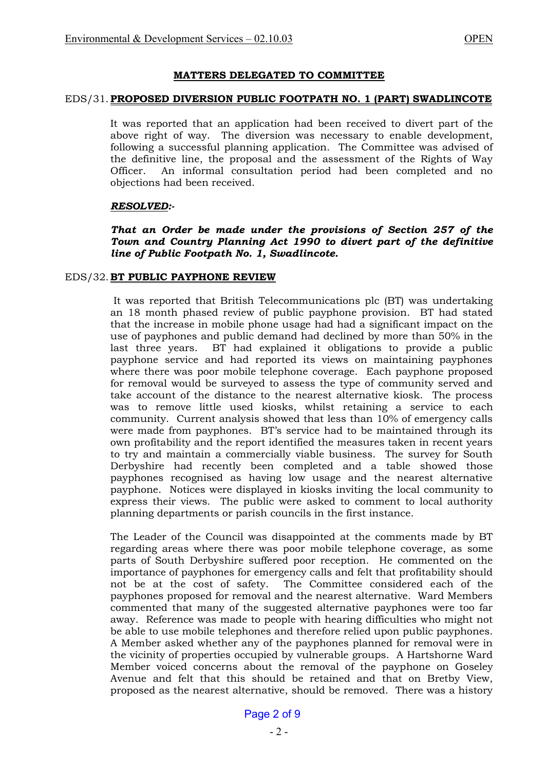## **MATTERS DELEGATED TO COMMITTEE**

### EDS/31. **PROPOSED DIVERSION PUBLIC FOOTPATH NO. 1 (PART) SWADLINCOTE**

It was reported that an application had been received to divert part of the above right of way. The diversion was necessary to enable development, following a successful planning application. The Committee was advised of the definitive line, the proposal and the assessment of the Rights of Way Officer. An informal consultation period had been completed and no objections had been received.

## *RESOLVED:-*

*That an Order be made under the provisions of Section 257 of the Town and Country Planning Act 1990 to divert part of the definitive line of Public Footpath No. 1, Swadlincote.* 

## EDS/32. **BT PUBLIC PAYPHONE REVIEW**

 It was reported that British Telecommunications plc (BT) was undertaking an 18 month phased review of public payphone provision. BT had stated that the increase in mobile phone usage had had a significant impact on the use of payphones and public demand had declined by more than 50% in the last three years. BT had explained it obligations to provide a public payphone service and had reported its views on maintaining payphones where there was poor mobile telephone coverage. Each payphone proposed for removal would be surveyed to assess the type of community served and take account of the distance to the nearest alternative kiosk. The process was to remove little used kiosks, whilst retaining a service to each community. Current analysis showed that less than 10% of emergency calls were made from payphones. BT's service had to be maintained through its own profitability and the report identified the measures taken in recent years to try and maintain a commercially viable business. The survey for South Derbyshire had recently been completed and a table showed those payphones recognised as having low usage and the nearest alternative payphone. Notices were displayed in kiosks inviting the local community to express their views. The public were asked to comment to local authority planning departments or parish councils in the first instance.

 The Leader of the Council was disappointed at the comments made by BT regarding areas where there was poor mobile telephone coverage, as some parts of South Derbyshire suffered poor reception. He commented on the importance of payphones for emergency calls and felt that profitability should not be at the cost of safety. The Committee considered each of the payphones proposed for removal and the nearest alternative. Ward Members commented that many of the suggested alternative payphones were too far away. Reference was made to people with hearing difficulties who might not be able to use mobile telephones and therefore relied upon public payphones. A Member asked whether any of the payphones planned for removal were in the vicinity of properties occupied by vulnerable groups. A Hartshorne Ward Member voiced concerns about the removal of the payphone on Goseley Avenue and felt that this should be retained and that on Bretby View, proposed as the nearest alternative, should be removed. There was a history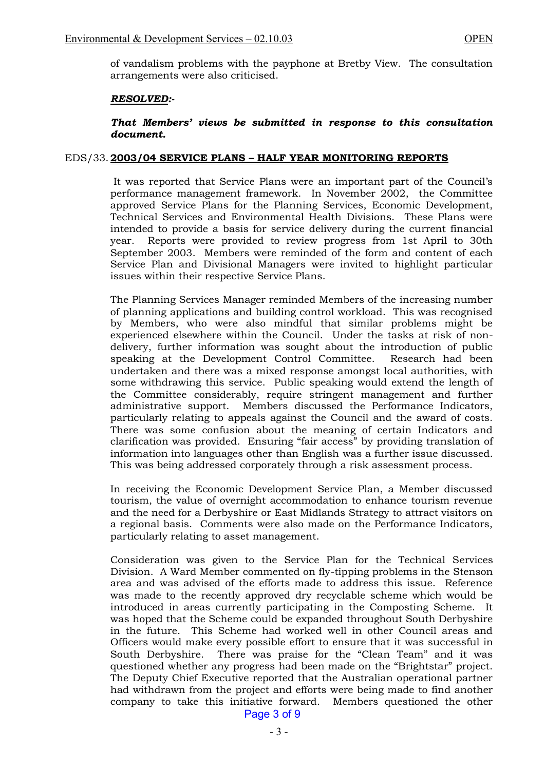of vandalism problems with the payphone at Bretby View. The consultation arrangements were also criticised.

### *RESOLVED:-*

## *That Members' views be submitted in response to this consultation document.*

### EDS/33. **2003/04 SERVICE PLANS – HALF YEAR MONITORING REPORTS**

 It was reported that Service Plans were an important part of the Council's performance management framework. In November 2002, the Committee approved Service Plans for the Planning Services, Economic Development, Technical Services and Environmental Health Divisions. These Plans were intended to provide a basis for service delivery during the current financial year. Reports were provided to review progress from 1st April to 30th September 2003. Members were reminded of the form and content of each Service Plan and Divisional Managers were invited to highlight particular issues within their respective Service Plans.

 The Planning Services Manager reminded Members of the increasing number of planning applications and building control workload. This was recognised by Members, who were also mindful that similar problems might be experienced elsewhere within the Council. Under the tasks at risk of nondelivery, further information was sought about the introduction of public speaking at the Development Control Committee. Research had been undertaken and there was a mixed response amongst local authorities, with some withdrawing this service. Public speaking would extend the length of the Committee considerably, require stringent management and further administrative support. Members discussed the Performance Indicators, particularly relating to appeals against the Council and the award of costs. There was some confusion about the meaning of certain Indicators and clarification was provided. Ensuring "fair access" by providing translation of information into languages other than English was a further issue discussed. This was being addressed corporately through a risk assessment process.

 In receiving the Economic Development Service Plan, a Member discussed tourism, the value of overnight accommodation to enhance tourism revenue and the need for a Derbyshire or East Midlands Strategy to attract visitors on a regional basis. Comments were also made on the Performance Indicators, particularly relating to asset management.

 Consideration was given to the Service Plan for the Technical Services Division. A Ward Member commented on fly-tipping problems in the Stenson area and was advised of the efforts made to address this issue. Reference was made to the recently approved dry recyclable scheme which would be introduced in areas currently participating in the Composting Scheme. It was hoped that the Scheme could be expanded throughout South Derbyshire in the future. This Scheme had worked well in other Council areas and Officers would make every possible effort to ensure that it was successful in South Derbyshire. There was praise for the "Clean Team" and it was questioned whether any progress had been made on the "Brightstar" project. The Deputy Chief Executive reported that the Australian operational partner had withdrawn from the project and efforts were being made to find another company to take this initiative forward. Members questioned the other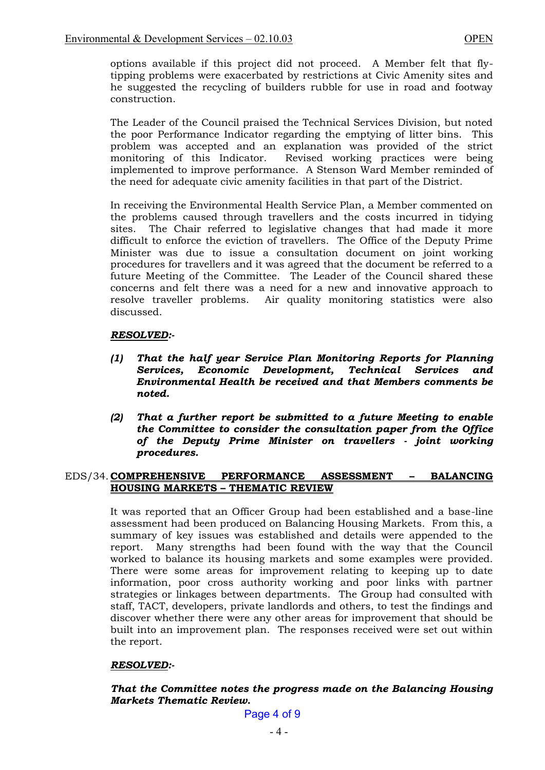options available if this project did not proceed. A Member felt that flytipping problems were exacerbated by restrictions at Civic Amenity sites and he suggested the recycling of builders rubble for use in road and footway construction.

The Leader of the Council praised the Technical Services Division, but noted the poor Performance Indicator regarding the emptying of litter bins. This problem was accepted and an explanation was provided of the strict Revised working practices were being implemented to improve performance. A Stenson Ward Member reminded of the need for adequate civic amenity facilities in that part of the District.

 In receiving the Environmental Health Service Plan, a Member commented on the problems caused through travellers and the costs incurred in tidying sites. The Chair referred to legislative changes that had made it more difficult to enforce the eviction of travellers. The Office of the Deputy Prime Minister was due to issue a consultation document on joint working procedures for travellers and it was agreed that the document be referred to a future Meeting of the Committee. The Leader of the Council shared these concerns and felt there was a need for a new and innovative approach to resolve traveller problems. Air quality monitoring statistics were also discussed.

# *RESOLVED:-*

- *(1) That the half year Service Plan Monitoring Reports for Planning Services, Economic Development, Technical Services and Environmental Health be received and that Members comments be noted.*
- *(2) That a further report be submitted to a future Meeting to enable the Committee to consider the consultation paper from the Office of the Deputy Prime Minister on travellers - joint working procedures.*

## EDS/34. **COMPREHENSIVE PERFORMANCE ASSESSMENT – BALANCING HOUSING MARKETS – THEMATIC REVIEW**

 It was reported that an Officer Group had been established and a base-line assessment had been produced on Balancing Housing Markets. From this, a summary of key issues was established and details were appended to the report. Many strengths had been found with the way that the Council worked to balance its housing markets and some examples were provided. There were some areas for improvement relating to keeping up to date information, poor cross authority working and poor links with partner strategies or linkages between departments. The Group had consulted with staff, TACT, developers, private landlords and others, to test the findings and discover whether there were any other areas for improvement that should be built into an improvement plan. The responses received were set out within the report.

# *RESOLVED:-*

# *That the Committee notes the progress made on the Balancing Housing Markets Thematic Review.*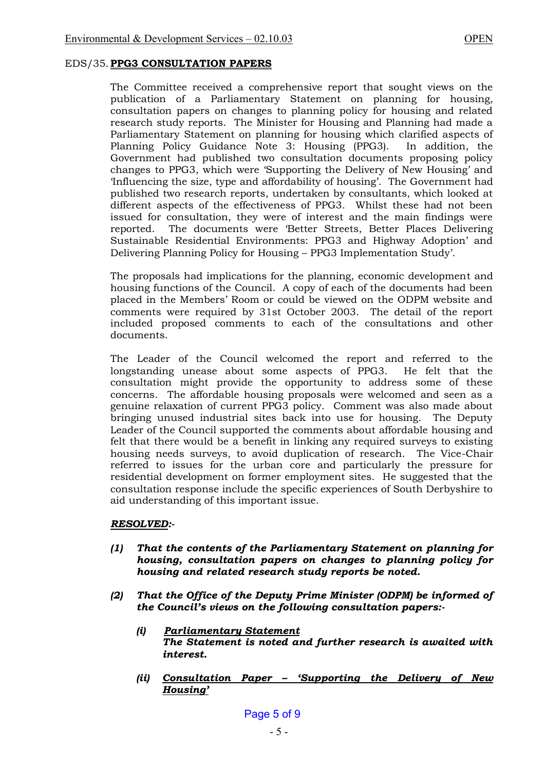### EDS/35. **PPG3 CONSULTATION PAPERS**

 The Committee received a comprehensive report that sought views on the publication of a Parliamentary Statement on planning for housing, consultation papers on changes to planning policy for housing and related research study reports. The Minister for Housing and Planning had made a Parliamentary Statement on planning for housing which clarified aspects of Planning Policy Guidance Note 3: Housing (PPG3). In addition, the Government had published two consultation documents proposing policy changes to PPG3, which were 'Supporting the Delivery of New Housing' and 'Influencing the size, type and affordability of housing'. The Government had published two research reports, undertaken by consultants, which looked at different aspects of the effectiveness of PPG3. Whilst these had not been issued for consultation, they were of interest and the main findings were reported. The documents were 'Better Streets, Better Places Delivering Sustainable Residential Environments: PPG3 and Highway Adoption' and Delivering Planning Policy for Housing – PPG3 Implementation Study'.

 The proposals had implications for the planning, economic development and housing functions of the Council. A copy of each of the documents had been placed in the Members' Room or could be viewed on the ODPM website and comments were required by 31st October 2003. The detail of the report included proposed comments to each of the consultations and other documents.

 The Leader of the Council welcomed the report and referred to the longstanding unease about some aspects of PPG3. He felt that the consultation might provide the opportunity to address some of these concerns. The affordable housing proposals were welcomed and seen as a genuine relaxation of current PPG3 policy. Comment was also made about bringing unused industrial sites back into use for housing. The Deputy Leader of the Council supported the comments about affordable housing and felt that there would be a benefit in linking any required surveys to existing housing needs surveys, to avoid duplication of research. The Vice-Chair referred to issues for the urban core and particularly the pressure for residential development on former employment sites. He suggested that the consultation response include the specific experiences of South Derbyshire to aid understanding of this important issue.

#### *RESOLVED:-*

- *(1) That the contents of the Parliamentary Statement on planning for housing, consultation papers on changes to planning policy for housing and related research study reports be noted.*
- *(2) That the Office of the Deputy Prime Minister (ODPM) be informed of the Council's views on the following consultation papers:-* 
	- *(i) Parliamentary Statement The Statement is noted and further research is awaited with interest.*
	- *(ii) Consultation Paper – 'Supporting the Delivery of New Housing'*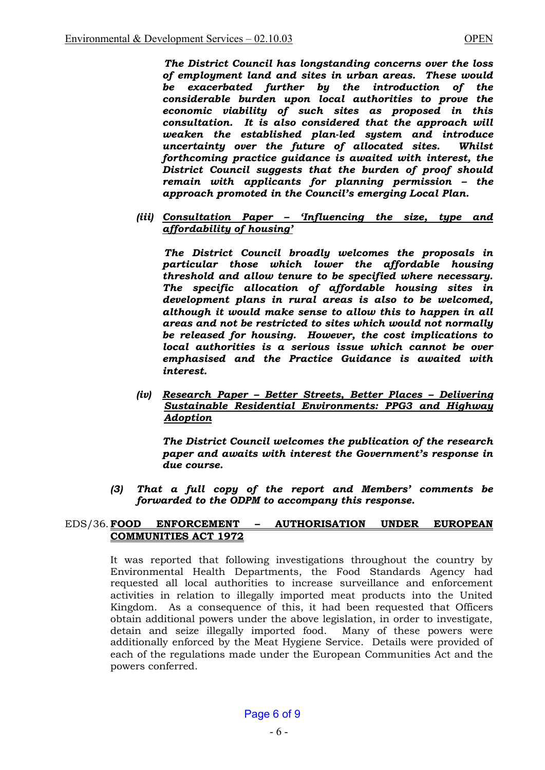*The District Council has longstanding concerns over the loss of employment land and sites in urban areas. These would be exacerbated further by the introduction of the considerable burden upon local authorities to prove the economic viability of such sites as proposed in this consultation. It is also considered that the approach will weaken the established plan-led system and introduce uncertainty over the future of allocated sites. Whilst forthcoming practice guidance is awaited with interest, the District Council suggests that the burden of proof should remain with applicants for planning permission – the approach promoted in the Council's emerging Local Plan.*

*(iii) Consultation Paper – 'Influencing the size, type and affordability of housing'*

 *The District Council broadly welcomes the proposals in particular those which lower the affordable housing threshold and allow tenure to be specified where necessary. The specific allocation of affordable housing sites in development plans in rural areas is also to be welcomed, although it would make sense to allow this to happen in all areas and not be restricted to sites which would not normally be released for housing. However, the cost implications to local authorities is a serious issue which cannot be over emphasised and the Practice Guidance is awaited with interest.* 

*(iv) Research Paper – Better Streets, Better Places – Delivering Sustainable Residential Environments: PPG3 and Highway Adoption* 

 *The District Council welcomes the publication of the research paper and awaits with interest the Government's response in due course.* 

*(3) That a full copy of the report and Members' comments be forwarded to the ODPM to accompany this response.* 

#### EDS/36. **FOOD ENFORCEMENT – AUTHORISATION UNDER EUROPEAN COMMUNITIES ACT 1972**

 It was reported that following investigations throughout the country by Environmental Health Departments, the Food Standards Agency had requested all local authorities to increase surveillance and enforcement activities in relation to illegally imported meat products into the United Kingdom. As a consequence of this, it had been requested that Officers obtain additional powers under the above legislation, in order to investigate, detain and seize illegally imported food. Many of these powers were additionally enforced by the Meat Hygiene Service. Details were provided of each of the regulations made under the European Communities Act and the powers conferred.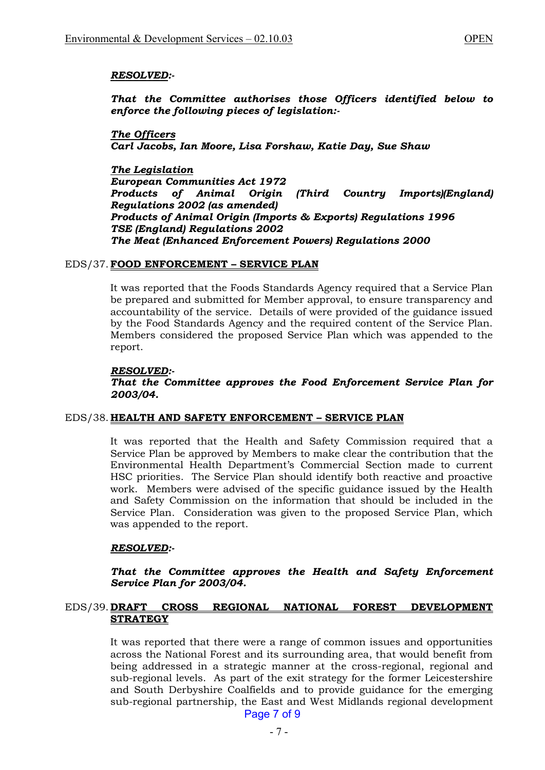## *RESOLVED:-*

*That the Committee authorises those Officers identified below to enforce the following pieces of legislation:-* 

*The Officers Carl Jacobs, Ian Moore, Lisa Forshaw, Katie Day, Sue Shaw* 

*The Legislation European Communities Act 1972 Products of Animal Origin (Third Country Imports)(England) Regulations 2002 (as amended) Products of Animal Origin (Imports & Exports) Regulations 1996 TSE (England) Regulations 2002 The Meat (Enhanced Enforcement Powers) Regulations 2000* 

#### EDS/37. **FOOD ENFORCEMENT – SERVICE PLAN**

 It was reported that the Foods Standards Agency required that a Service Plan be prepared and submitted for Member approval, to ensure transparency and accountability of the service. Details of were provided of the guidance issued by the Food Standards Agency and the required content of the Service Plan. Members considered the proposed Service Plan which was appended to the report.

#### *RESOLVED:-*

 *That the Committee approves the Food Enforcement Service Plan for 2003/04.* 

#### EDS/38. **HEALTH AND SAFETY ENFORCEMENT – SERVICE PLAN**

 It was reported that the Health and Safety Commission required that a Service Plan be approved by Members to make clear the contribution that the Environmental Health Department's Commercial Section made to current HSC priorities. The Service Plan should identify both reactive and proactive work. Members were advised of the specific guidance issued by the Health and Safety Commission on the information that should be included in the Service Plan. Consideration was given to the proposed Service Plan, which was appended to the report.

#### *RESOLVED:-*

 *That the Committee approves the Health and Safety Enforcement Service Plan for 2003/04.* 

## EDS/39. **DRAFT CROSS REGIONAL NATIONAL FOREST DEVELOPMENT STRATEGY**

 It was reported that there were a range of common issues and opportunities across the National Forest and its surrounding area, that would benefit from being addressed in a strategic manner at the cross-regional, regional and sub-regional levels. As part of the exit strategy for the former Leicestershire and South Derbyshire Coalfields and to provide guidance for the emerging sub-regional partnership, the East and West Midlands regional development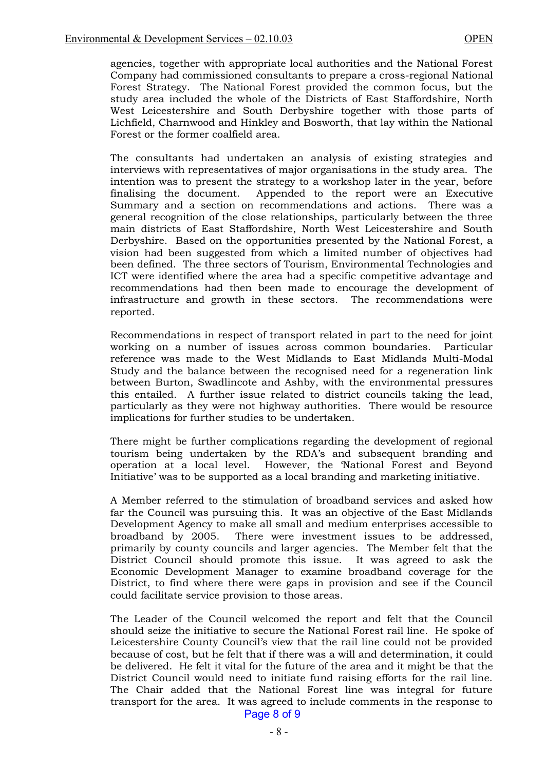agencies, together with appropriate local authorities and the National Forest Company had commissioned consultants to prepare a cross-regional National Forest Strategy. The National Forest provided the common focus, but the study area included the whole of the Districts of East Staffordshire, North West Leicestershire and South Derbyshire together with those parts of Lichfield, Charnwood and Hinkley and Bosworth, that lay within the National Forest or the former coalfield area.

 The consultants had undertaken an analysis of existing strategies and interviews with representatives of major organisations in the study area. The intention was to present the strategy to a workshop later in the year, before finalising the document. Appended to the report were an Executive Summary and a section on recommendations and actions. There was a general recognition of the close relationships, particularly between the three main districts of East Staffordshire, North West Leicestershire and South Derbyshire. Based on the opportunities presented by the National Forest, a vision had been suggested from which a limited number of objectives had been defined. The three sectors of Tourism, Environmental Technologies and ICT were identified where the area had a specific competitive advantage and recommendations had then been made to encourage the development of infrastructure and growth in these sectors. The recommendations were reported.

 Recommendations in respect of transport related in part to the need for joint working on a number of issues across common boundaries. Particular reference was made to the West Midlands to East Midlands Multi-Modal Study and the balance between the recognised need for a regeneration link between Burton, Swadlincote and Ashby, with the environmental pressures this entailed. A further issue related to district councils taking the lead, particularly as they were not highway authorities. There would be resource implications for further studies to be undertaken.

 There might be further complications regarding the development of regional tourism being undertaken by the RDA's and subsequent branding and operation at a local level. However, the 'National Forest and Beyond Initiative' was to be supported as a local branding and marketing initiative.

 A Member referred to the stimulation of broadband services and asked how far the Council was pursuing this. It was an objective of the East Midlands Development Agency to make all small and medium enterprises accessible to broadband by 2005. There were investment issues to be addressed, primarily by county councils and larger agencies. The Member felt that the District Council should promote this issue. It was agreed to ask the Economic Development Manager to examine broadband coverage for the District, to find where there were gaps in provision and see if the Council could facilitate service provision to those areas.

 The Leader of the Council welcomed the report and felt that the Council should seize the initiative to secure the National Forest rail line. He spoke of Leicestershire County Council's view that the rail line could not be provided because of cost, but he felt that if there was a will and determination, it could be delivered. He felt it vital for the future of the area and it might be that the District Council would need to initiate fund raising efforts for the rail line. The Chair added that the National Forest line was integral for future transport for the area. It was agreed to include comments in the response to Page 8 of 9